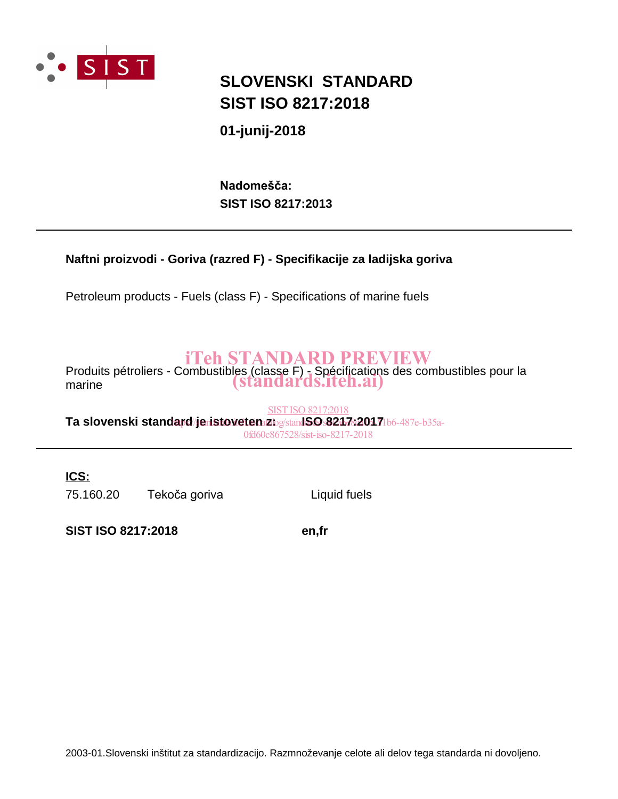

## **SIST ISO 8217:2018 SLOVENSKI STANDARD**

**01-junij-2018**

**SIST ISO 8217:2013** Nadomešča:

### **Naftni proizvodi - Goriva (razred F) - Specifikacije za ladijska goriva**

Petroleum products - Fuels (class F) - Specifications of marine fuels

### iTeh STANDARD PREVIEW

Produits pétroliers - Combustibles (classe F) - Spécifications des combustibles pour la Produits petrollers - Combustibles (classe F) - Specifications<br>marine (standards.iteh.ai)

**Ta slovenski standard/jeristoveten zbg/standSO 8217x20171b6-487e-b35a-**SIST ISO 8217:2018 0fd60c867528/sist-iso-8217-2018

**ICS:**

75.160.20 Tekoča goriva Christianus Liquid fuels

**SIST ISO 8217:2018 en,fr**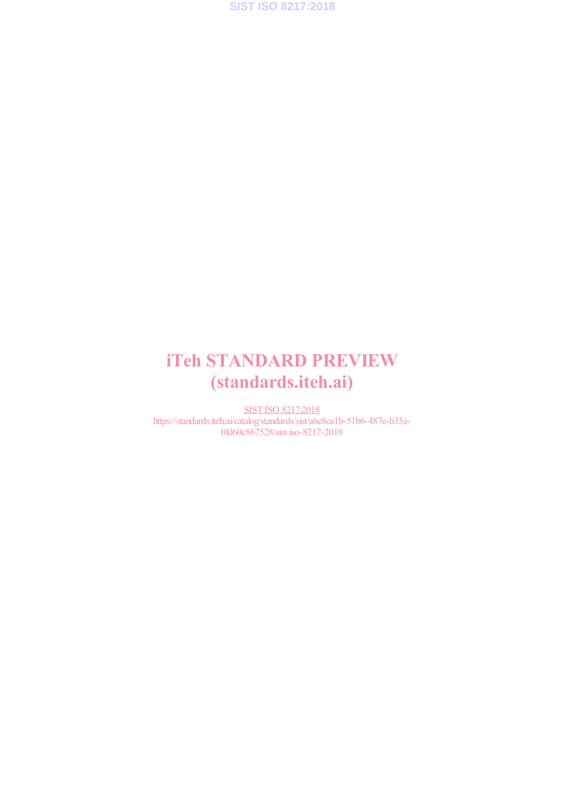

# iTeh STANDARD PREVIEW (standards.iteh.ai)

SIST ISO 8217:2018 https://standards.iteh.ai/catalog/standards/sist/a6e8ca1b-51b6-487e-b35a-0fd60c867528/sist-iso-8217-2018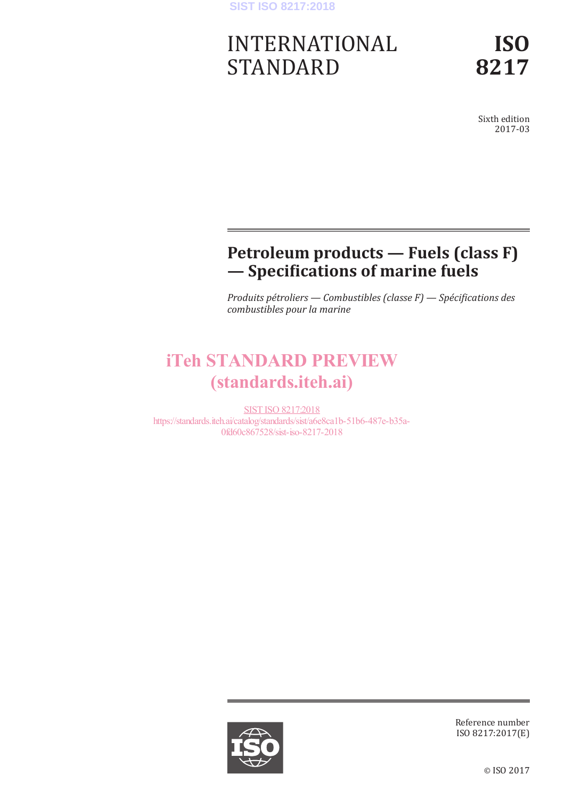

# INTERNATIONAL STANDARD

**ISO 8217**

Sixth edition 2017-03

## **Petroleum products — Fuels (class F) — Specifications of marine fuels**

*Produits pétroliers — Combustibles (classe F) — Spécifications des combustibles pour la marine*

# iTeh STANDARD PREVIEW (standards.iteh.ai)

SIST ISO 8217:2018 https://standards.iteh.ai/catalog/standards/sist/a6e8ca1b-51b6-487e-b35a-0fd60c867528/sist-iso-8217-2018



Reference number ISO 8217:2017(E)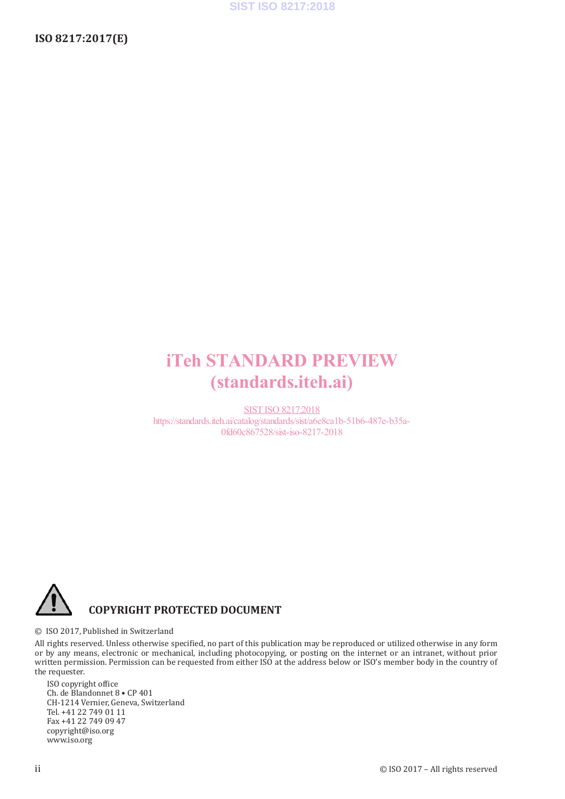## iTeh STANDARD PREVIEW (standards.iteh.ai)

SIST ISO 8217:2018 https://standards.iteh.ai/catalog/standards/sist/a6e8ca1b-51b6-487e-b35a-0fd60c867528/sist-iso-8217-2018



#### © ISO 2017, Published in Switzerland

All rights reserved. Unless otherwise specified, no part of this publication may be reproduced or utilized otherwise in any form or by any means, electronic or mechanical, including photocopying, or posting on the internet or an intranet, without prior written permission. Permission can be requested from either ISO at the address below or ISO's member body in the country of the requester.

ISO copyright office Ch. de Blandonnet 8 • CP 401 CH-1214 Vernier, Geneva, Switzerland Tel. +41 22 749 01 11 Fax +41 22 749 09 47 copyright@iso.org www.iso.org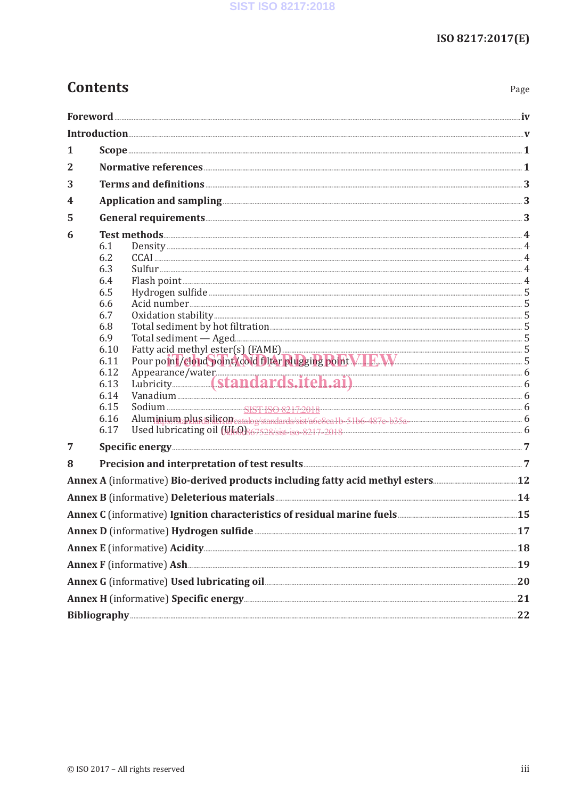## **Contents**

| . .<br>×<br>۹<br>×<br>×<br>v |
|------------------------------|
|------------------------------|

| 1                                 |                                                              |                                                                                           |     |  |
|-----------------------------------|--------------------------------------------------------------|-------------------------------------------------------------------------------------------|-----|--|
| 2                                 |                                                              |                                                                                           |     |  |
| 3                                 |                                                              |                                                                                           |     |  |
| 4                                 | Application and sampling <u>Electronian Communication</u> 3  |                                                                                           |     |  |
| 5                                 |                                                              |                                                                                           |     |  |
|                                   |                                                              |                                                                                           |     |  |
| 6                                 | 6.1                                                          |                                                                                           |     |  |
|                                   | 6.2                                                          | $CCA$ $\cdots$ 4                                                                          |     |  |
|                                   | 6.3                                                          |                                                                                           |     |  |
|                                   | 6.4                                                          |                                                                                           |     |  |
|                                   | 6.5                                                          |                                                                                           |     |  |
|                                   | 6.6                                                          |                                                                                           |     |  |
|                                   | 6.7                                                          |                                                                                           |     |  |
|                                   | 6.8                                                          |                                                                                           |     |  |
|                                   | 6.9                                                          |                                                                                           |     |  |
|                                   | 6.10                                                         |                                                                                           |     |  |
|                                   | 6.11                                                         | Fatty acid methyl ester(s) (FAME)<br>Pour point/cold filter plugging point <b>V.I.E.W</b> |     |  |
|                                   | 6.12                                                         | Appearance/water<br>Lubricity (standards.iteh.ai) 6                                       |     |  |
|                                   | 6.13                                                         |                                                                                           |     |  |
|                                   | 6.14                                                         | $\bf Vana dium_{1}$                                                                       |     |  |
|                                   | 6.15                                                         |                                                                                           |     |  |
|                                   | 6.16                                                         |                                                                                           |     |  |
|                                   | 6.17                                                         |                                                                                           |     |  |
| 7                                 |                                                              |                                                                                           |     |  |
| 8                                 |                                                              | Precision and interpretation of test results <b>Execution</b> 3                           |     |  |
|                                   |                                                              |                                                                                           |     |  |
|                                   |                                                              |                                                                                           |     |  |
|                                   |                                                              |                                                                                           |     |  |
|                                   |                                                              |                                                                                           | .17 |  |
| Annex E (informative) Acidity 18  |                                                              |                                                                                           |     |  |
| Annex F (informative) Ash 2008 19 |                                                              |                                                                                           |     |  |
|                                   | Annex G (informative) Used lubricating oil <b>Example 20</b> |                                                                                           |     |  |
|                                   | Annex H (informative) Specific energy 21 and 21              |                                                                                           |     |  |
| Bibliography 22                   |                                                              |                                                                                           |     |  |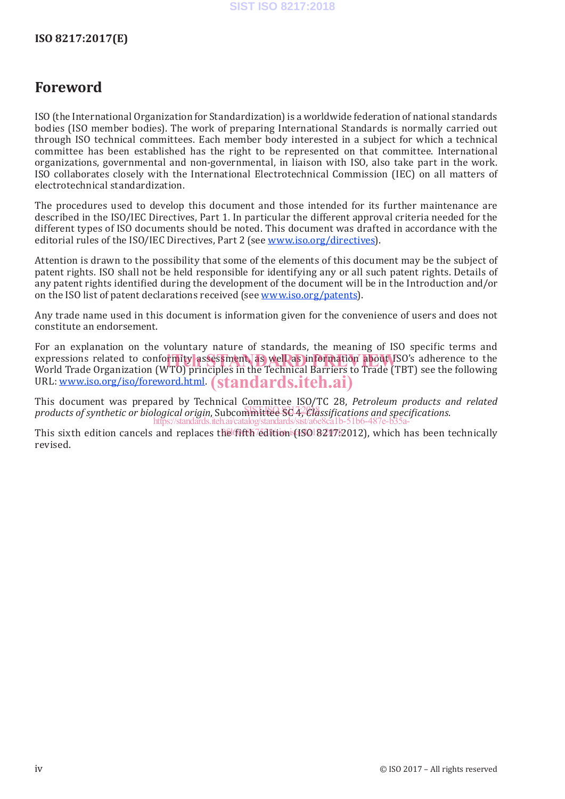### **Foreword**

ISO (the International Organization for Standardization) is a worldwide federation of national standards bodies (ISO member bodies). The work of preparing International Standards is normally carried out through ISO technical committees. Each member body interested in a subject for which a technical committee has been established has the right to be represented on that committee. International organizations, governmental and non-governmental, in liaison with ISO, also take part in the work. ISO collaborates closely with the International Electrotechnical Commission (IEC) on all matters of electrotechnical standardization.

The procedures used to develop this document and those intended for its further maintenance are described in the ISO/IEC Directives, Part 1. In particular the different approval criteria needed for the different types of ISO documents should be noted. This document was drafted in accordance with the editorial rules of the ISO/IEC Directives, Part 2 (see www.iso.org/directives).

Attention is drawn to the possibility that some of the elements of this document may be the subject of patent rights. ISO shall not be held responsible for identifying any or all such patent rights. Details of any patent rights identified during the development of the document will be in the Introduction and/or on the ISO list of patent declarations received (see www.iso.org/patents).

Any trade name used in this document is information given for the convenience of users and does not constitute an endorsement.

For an explanation on the voluntary nature of standards, the meaning of ISO specific terms and expressions related to conformity assessment, as well as information about ISO's adherence to the<br>World Trade Organization (WTO) principles in the Technical Barriers to Trade (TBT) see the following World Trade Organization (WTO) principles in the Technical Barriers to Trade (TBT) see the following URL: <u>www.iso.org/iso/foreword.html</u>. (standards.iteh.ai)

This document was prepared by Technical Committee ISO/TC 28, *Petroleum products and related products of synthetic or biological origin*, Subcommittee SC 4, *Classifications and specifications.* iteh.ai/catalog/standar

This sixth edition cancels and replaces the fifth edition (ISO 821782012), which has been technically revised.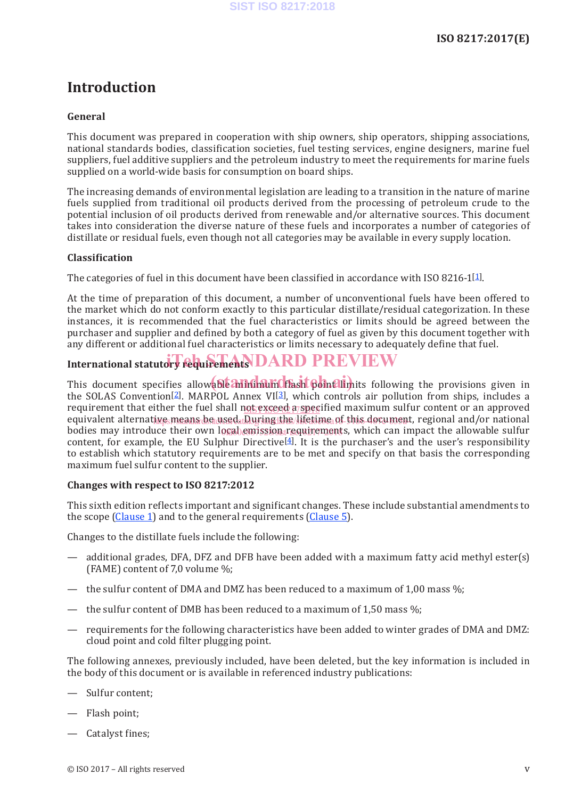### **Introduction**

#### **General**

This document was prepared in cooperation with ship owners, ship operators, shipping associations, national standards bodies, classification societies, fuel testing services, engine designers, marine fuel suppliers, fuel additive suppliers and the petroleum industry to meet the requirements for marine fuels supplied on a world-wide basis for consumption on board ships.

The increasing demands of environmental legislation are leading to a transition in the nature of marine fuels supplied from traditional oil products derived from the processing of petroleum crude to the potential inclusion of oil products derived from renewable and/or alternative sources. This document takes into consideration the diverse nature of these fuels and incorporates a number of categories of distillate or residual fuels, even though not all categories may be available in every supply location.

#### **Classification**

The categories of fuel in this document have been classified in accordance with ISO 8216-1[1].

At the time of preparation of this document, a number of unconventional fuels have been offered to the market which do not conform exactly to this particular distillate/residual categorization. In these instances, it is recommended that the fuel characteristics or limits should be agreed between the purchaser and supplier and defined by both a category of fuel as given by this document together with any different or additional fuel characteristics or limits necessary to adequately define that fuel.

## International statutory requirements DARD PREVIEW

This document specifies allowable animum flash point limits following the provisions given in the SOLAS Convention[2]. MARPOL Annex VI[3], which controls air pollution from ships, includes a requirement that either the fuel shall not exceed a specified maximum sulfur content or an approved equivalent alternative means be used thuring the lifetime of this document, regional and/or national bodies may introduce their own locabemission requirements, which can impact the allowable sulfur content, for example, the EU Sulphur Directive[4]. It is the purchaser's and the user's responsibility to establish which statutory requirements are to be met and specify on that basis the corresponding maximum fuel sulfur content to the supplier.

### **Changes with respect to ISO 8217:2012**

This sixth edition reflects important and significant changes. These include substantial amendments to the scope (Clause 1) and to the general requirements (Clause 5).

Changes to the distillate fuels include the following:

- additional grades, DFA, DFZ and DFB have been added with a maximum fatty acid methyl ester(s) (FAME) content of 7,0 volume %;
- the sulfur content of DMA and DMZ has been reduced to a maximum of 1,00 mass %;
- the sulfur content of DMB has been reduced to a maximum of 1,50 mass  $\%$ :
- requirements for the following characteristics have been added to winter grades of DMA and DMZ: cloud point and cold filter plugging point.

The following annexes, previously included, have been deleted, but the key information is included in the body of this document or is available in referenced industry publications:

- Sulfur content;
- Flash point;
- Catalyst fines;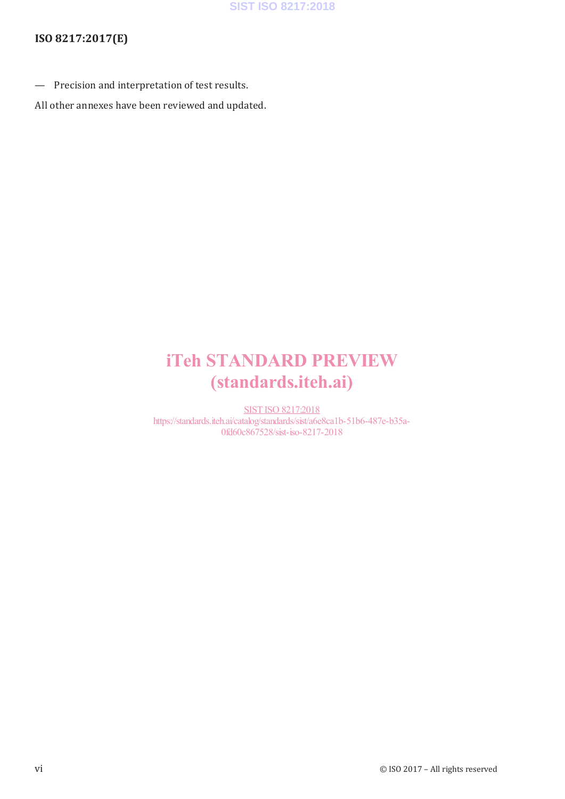— Precision and interpretation of test results.

All other annexes have been reviewed and updated.

# iTeh STANDARD PREVIEW (standards.iteh.ai)

SIST ISO 8217:2018 https://standards.iteh.ai/catalog/standards/sist/a6e8ca1b-51b6-487e-b35a-0fd60c867528/sist-iso-8217-2018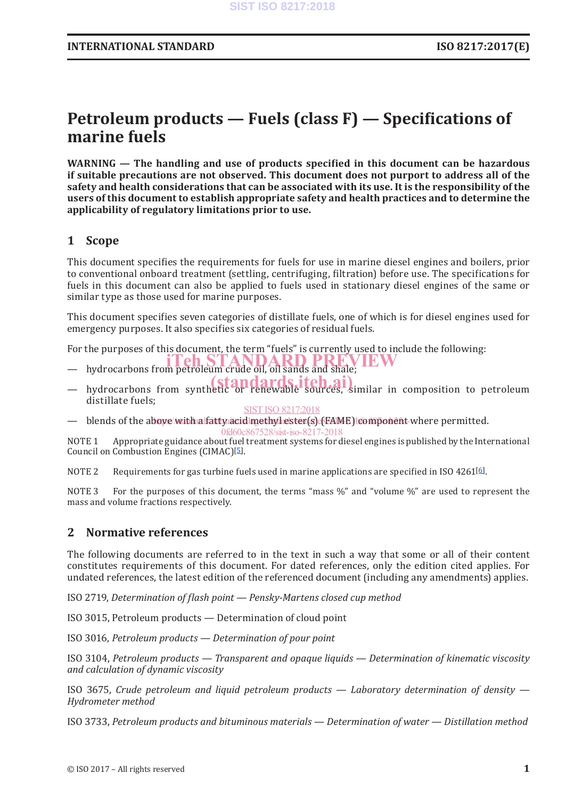### **Petroleum products — Fuels (class F) — Specifications of marine fuels**

**WARNING — The handling and use of products specified in this document can be hazardous if suitable precautions are not observed. This document does not purport to address all of the safety and health considerations that can be associated with its use. It is the responsibility of the users of this document to establish appropriate safety and health practices and to determine the applicability of regulatory limitations prior to use.**

### **1 Scope**

This document specifies the requirements for fuels for use in marine diesel engines and boilers, prior to conventional onboard treatment (settling, centrifuging, filtration) before use. The specifications for fuels in this document can also be applied to fuels used in stationary diesel engines of the same or similar type as those used for marine purposes.

This document specifies seven categories of distillate fuels, one of which is for diesel engines used for emergency purposes. It also specifies six categories of residual fuels.

For the purposes of this document, the term "fuels" is currently used to include the following:

- hydrocarbons from petroleum crude oil, oil sands and shale;
- 
- hydrocarbons from synthetic or renewable sources, similar in composition to petroleum distillate fuels; SIST ISO 8217:2018
- blends of the above/with a fatty acid methyl ester(s) (FAME) component where permitted.

NOTE 1 Appropriate guidance about fuel treatment systems for diesel engines is published by the International Council on Combustion Engines (CIMAC)[5]. 0fd60c867528/sist-iso-8217-2018

NOTE 2 Requirements for gas turbine fuels used in marine applications are specified in ISO 4261[6].

NOTE 3 For the purposes of this document, the terms "mass %" and "volume %" are used to represent the mass and volume fractions respectively.

### **2 Normative references**

The following documents are referred to in the text in such a way that some or all of their content constitutes requirements of this document. For dated references, only the edition cited applies. For undated references, the latest edition of the referenced document (including any amendments) applies.

ISO 2719, *Determination of flash point — Pensky-Martens closed cup method*

ISO 3015, Petroleum products — Determination of cloud point

ISO 3016, *Petroleum products — Determination of pour point*

ISO 3104, *Petroleum products — Transparent and opaque liquids — Determination of kinematic viscosity and calculation of dynamic viscosity*

ISO 3675, *Crude petroleum and liquid petroleum products — Laboratory determination of density — Hydrometer method*

ISO 3733, *Petroleum products and bituminous materials — Determination of water — Distillation method*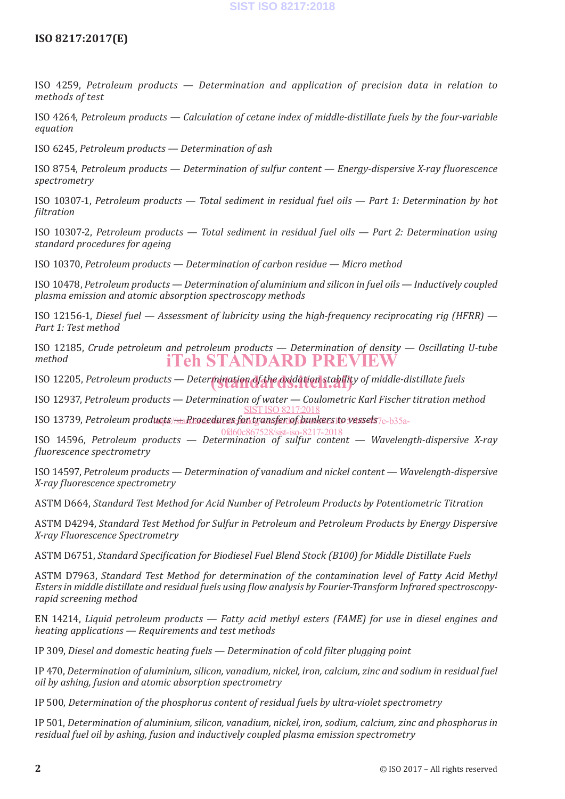#### **SIST ISO 8217:2018**

### **ISO 8217:2017(E)**

ISO 4259, *Petroleum products — Determination and application of precision data in relation to methods of test*

ISO 4264, *Petroleum products — Calculation of cetane index of middle-distillate fuels by the four-variable equation*

ISO 6245, *Petroleum products — Determination of ash*

ISO 8754, *Petroleum products — Determination of sulfur content — Energy-dispersive X-ray fluorescence spectrometry*

ISO 10307-1, *Petroleum products — Total sediment in residual fuel oils — Part 1: Determination by hot filtration*

ISO 10307-2, *Petroleum products — Total sediment in residual fuel oils — Part 2: Determination using standard procedures for ageing*

ISO 10370, *Petroleum products — Determination of carbon residue — Micro method*

ISO 10478, *Petroleum products — Determination of aluminium and silicon in fuel oils — Inductively coupled plasma emission and atomic absorption spectroscopy methods*

ISO 12156-1, *Diesel fuel — Assessment of lubricity using the high-frequency reciprocating rig (HFRR) — Part 1: Test method*

ISO 12185, *Crude petroleum and petroleum products — Determination of density — Oscillating U-tube method* iTeh STANDARD PREVIEW

ISO 12205, Petroleum products — Deter<mark>mination of the oxidation stabili</mark>ty of middle-distillate fuels

ISO 12937, *Petroleum products — Determination of water — Coulometric Karl Fischer titration method* SIST ISO 8217:2018

ISO 13739, *Petroleum products — Procedures for transfer of bunkers to vessels* https://standards.iteh.ai/catalog/standards/sist/a6e8ca1b-51b6-487e-b35a-

ISO 14596, *Petroleum products — Determination of sulfur content — Wavelength-dispersive X-ray fluorescence spectrometry* 0fd60c867528/sist-iso-8217-2018

ISO 14597, *Petroleum products — Determination of vanadium and nickel content — Wavelength-dispersive X-ray fluorescence spectrometry*

ASTM D664, *Standard Test Method for Acid Number of Petroleum Products by Potentiometric Titration*

ASTM D4294, *Standard Test Method for Sulfur in Petroleum and Petroleum Products by Energy Dispersive X-ray Fluorescence Spectrometry*

ASTM D6751, *Standard Specification for Biodiesel Fuel Blend Stock (B100) for Middle Distillate Fuels*

ASTM D7963, *Standard Test Method for determination of the contamination level of Fatty Acid Methyl Esters in middle distillate and residual fuels using flow analysis by Fourier-Transform Infrared spectroscopyrapid screening method*

EN 14214, *Liquid petroleum products — Fatty acid methyl esters (FAME) for use in diesel engines and heating applications — Requirements and test methods*

IP 309, *Diesel and domestic heating fuels — Determination of cold filter plugging point*

IP 470, *Determination of aluminium, silicon, vanadium, nickel, iron, calcium, zinc and sodium in residual fuel oil by ashing, fusion and atomic absorption spectrometry*

IP 500, *Determination of the phosphorus content of residual fuels by ultra-violet spectrometry*

IP 501, *Determination of aluminium, silicon, vanadium, nickel, iron, sodium, calcium, zinc and phosphorus in residual fuel oil by ashing, fusion and inductively coupled plasma emission spectrometry*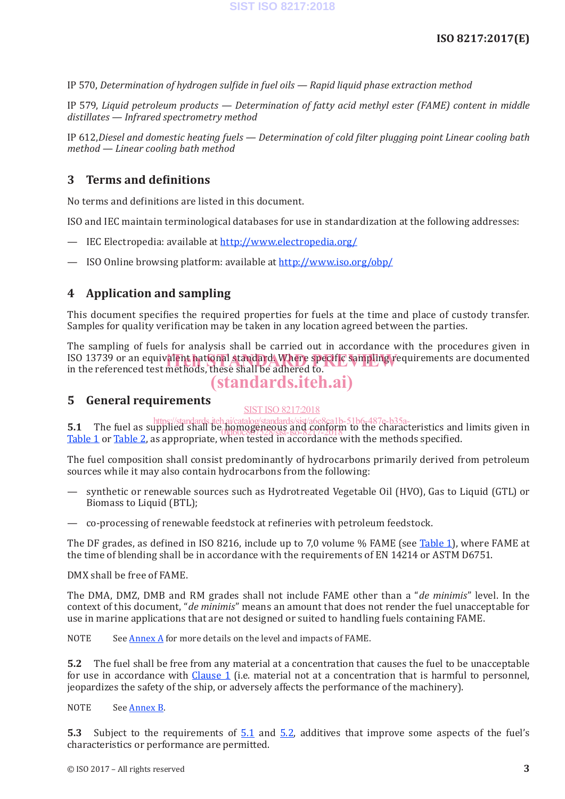IP 570, *Determination of hydrogen sulfide in fuel oils — Rapid liquid phase extraction method*

IP 579, *Liquid petroleum products — Determination of fatty acid methyl ester (FAME) content in middle distillates — Infrared spectrometry method*

IP 612,*Diesel and domestic heating fuels — Determination of cold filter plugging point Linear cooling bath method — Linear cooling bath method*

### **3 Terms and definitions**

No terms and definitions are listed in this document.

ISO and IEC maintain terminological databases for use in standardization at the following addresses:

- IEC Electropedia: available at http://www.electropedia.org/
- ISO Online browsing platform: available at http://www.iso.org/obp/

### **4 Application and sampling**

This document specifies the required properties for fuels at the time and place of custody transfer. Samples for quality verification may be taken in any location agreed between the parties.

The sampling of fuels for analysis shall be carried out in accordance with the procedures given in ISO 13739 or an equivalent pational standard. Where specific sampling requirements are documented<br>in the referenced test methods, these shall be adhered to in the referenced test methods, these shall be adhered to.

### (standards.iteh.ai)

### **5 General requirements**

#### SIST ISO 8217:2018

**5.1** The fuel as supplied shall be have allog/standards/sist/a6e8ca1b-51b6-487e-b35a-<br>**5.1** The fuel as supplied shall be homogeneous and conform to the characteristics and limits given in Table 1 or Table 2, as appropriate, when tested in accordance with the methods specified. 0fd60c867528/sist-iso-8217-2018

The fuel composition shall consist predominantly of hydrocarbons primarily derived from petroleum sources while it may also contain hydrocarbons from the following:

- synthetic or renewable sources such as Hydrotreated Vegetable Oil (HVO), Gas to Liquid (GTL) or Biomass to Liquid (BTL);
- co-processing of renewable feedstock at refineries with petroleum feedstock.

The DF grades, as defined in ISO 8216, include up to 7,0 volume % FAME (see Table 1), where FAME at the time of blending shall be in accordance with the requirements of EN 14214 or ASTM D6751.

#### DMX shall be free of FAME.

The DMA, DMZ, DMB and RM grades shall not include FAME other than a "*de minimis*" level. In the context of this document, "*de minimis*" means an amount that does not render the fuel unacceptable for use in marine applications that are not designed or suited to handling fuels containing FAME.

NOTE See  $\Delta$  for more details on the level and impacts of FAME.

**5.2** The fuel shall be free from any material at a concentration that causes the fuel to be unacceptable for use in accordance with Clause 1 (i.e. material not at a concentration that is harmful to personnel, jeopardizes the safety of the ship, or adversely affects the performance of the machinery).

NOTE See Annex B.

**5.3** Subject to the requirements of  $\overline{5.1}$  and  $\overline{5.2}$ , additives that improve some aspects of the fuel's characteristics or performance are permitted.